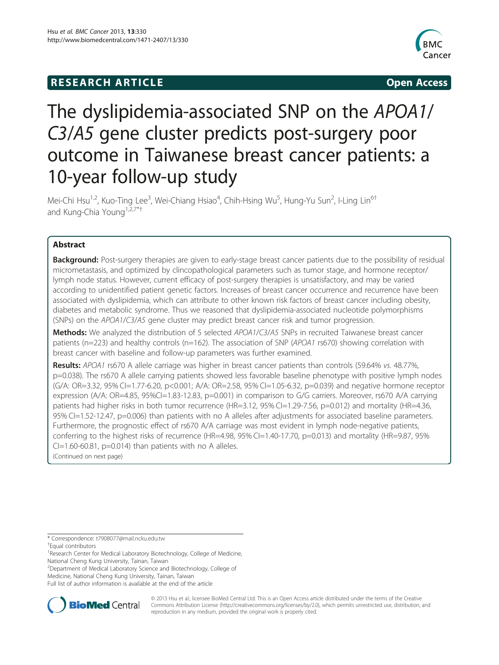## **RESEARCH ARTICLE Example 2014 CONSIDERING CONSIDERING CONSIDERING CONSIDERING CONSIDERING CONSIDERING CONSIDERING CONSIDERING CONSIDERING CONSIDERING CONSIDERING CONSIDERING CONSIDERING CONSIDERING CONSIDERING CONSIDE**



# The dyslipidemia-associated SNP on the APOA1/ C3/A5 gene cluster predicts post-surgery poor outcome in Taiwanese breast cancer patients: a 10-year follow-up study

Mei-Chi Hsu<sup>1,2</sup>, Kuo-Ting Lee<sup>3</sup>, Wei-Chiang Hsiao<sup>4</sup>, Chih-Hsing Wu<sup>5</sup>, Hung-Yu Sun<sup>2</sup>, I-Ling Lin<sup>6t</sup> and Kung-Chia Young<sup>1,2,7\*†</sup>

## Abstract

Background: Post-surgery therapies are given to early-stage breast cancer patients due to the possibility of residual micrometastasis, and optimized by clincopathological parameters such as tumor stage, and hormone receptor/ lymph node status. However, current efficacy of post-surgery therapies is unsatisfactory, and may be varied according to unidentified patient genetic factors. Increases of breast cancer occurrence and recurrence have been associated with dyslipidemia, which can attribute to other known risk factors of breast cancer including obesity, diabetes and metabolic syndrome. Thus we reasoned that dyslipidemia-associated nucleotide polymorphisms (SNPs) on the APOA1/C3/A5 gene cluster may predict breast cancer risk and tumor progression.

Methods: We analyzed the distribution of 5 selected APOA1/C3/A5 SNPs in recruited Taiwanese breast cancer patients (n=223) and healthy controls (n=162). The association of SNP (APOA1 rs670) showing correlation with breast cancer with baseline and follow-up parameters was further examined.

Results: APOA1 rs670 A allele carriage was higher in breast cancer patients than controls (59.64% vs. 48.77%, p=0.038). The rs670 A allele carrying patients showed less favorable baseline phenotype with positive lymph nodes (G/A: OR=3.32, 95% CI=1.77-6.20, p<0.001; A/A: OR=2.58, 95% CI=1.05-6.32, p=0.039) and negative hormone receptor expression (A/A: OR=4.85, 95%CI=1.83-12.83, p=0.001) in comparison to G/G carriers. Moreover, rs670 A/A carrying patients had higher risks in both tumor recurrence (HR=3.12, 95% CI=1.29-7.56, p=0.012) and mortality (HR=4.36, 95% CI=1.52-12.47, p=0.006) than patients with no A alleles after adjustments for associated baseline parameters. Furthermore, the prognostic effect of rs670 A/A carriage was most evident in lymph node-negative patients, conferring to the highest risks of recurrence (HR=4.98, 95% CI=1.40-17.70, p=0.013) and mortality (HR=9.87, 95%  $Cl=1.60-60.81$ ,  $p=0.014$ ) than patients with no A alleles. (Continued on next page)

\* Correspondence: [t7908077@mail.ncku.edu.tw](mailto:t7908077@mail.ncku.edu.tw) †

Equal contributors

<sup>1</sup> Research Center for Medical Laboratory Biotechnology, College of Medicine, National Cheng Kung University, Tainan, Taiwan

<sup>2</sup>Department of Medical Laboratory Science and Biotechnology, College of Medicine, National Cheng Kung University, Tainan, Taiwan

Full list of author information is available at the end of the article



© 2013 Hsu et al.; licensee BioMed Central Ltd. This is an Open Access article distributed under the terms of the Creative Commons Attribution License [\(http://creativecommons.org/licenses/by/2.0\)](http://creativecommons.org/licenses/by/2.0), which permits unrestricted use, distribution, and reproduction in any medium, provided the original work is properly cited.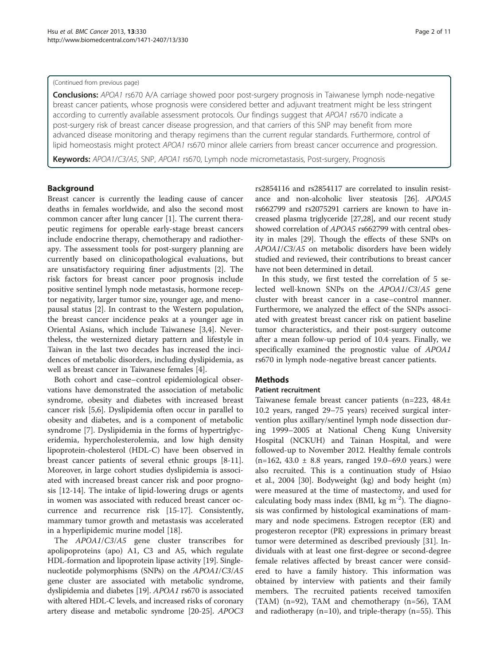#### (Continued from previous page)

Conclusions: APOA1 rs670 A/A carriage showed poor post-surgery prognosis in Taiwanese lymph node-negative breast cancer patients, whose prognosis were considered better and adjuvant treatment might be less stringent according to currently available assessment protocols. Our findings suggest that APOA1 rs670 indicate a post-surgery risk of breast cancer disease progression, and that carriers of this SNP may benefit from more advanced disease monitoring and therapy regimens than the current regular standards. Furthermore, control of lipid homeostasis might protect APOA1 rs670 minor allele carriers from breast cancer occurrence and progression.

Keywords: APOA1/C3/A5, SNP, APOA1 rs670, Lymph node micrometastasis, Post-surgery, Prognosis

#### **Background**

Breast cancer is currently the leading cause of cancer deaths in females worldwide, and also the second most common cancer after lung cancer [[1\]](#page-9-0). The current therapeutic regimens for operable early-stage breast cancers include endocrine therapy, chemotherapy and radiotherapy. The assessment tools for post-surgery planning are currently based on clinicopathological evaluations, but are unsatisfactory requiring finer adjustments [\[2](#page-9-0)]. The risk factors for breast cancer poor prognosis include positive sentinel lymph node metastasis, hormone receptor negativity, larger tumor size, younger age, and menopausal status [[2\]](#page-9-0). In contrast to the Western population, the breast cancer incidence peaks at a younger age in Oriental Asians, which include Taiwanese [[3,4\]](#page-9-0). Nevertheless, the westernized dietary pattern and lifestyle in Taiwan in the last two decades has increased the incidences of metabolic disorders, including dyslipidemia, as well as breast cancer in Taiwanese females [[4\]](#page-9-0).

Both cohort and case–control epidemiological observations have demonstrated the association of metabolic syndrome, obesity and diabetes with increased breast cancer risk [[5,6\]](#page-9-0). Dyslipidemia often occur in parallel to obesity and diabetes, and is a component of metabolic syndrome [\[7](#page-9-0)]. Dyslipidemia in the forms of hypertriglyceridemia, hypercholesterolemia, and low high density lipoprotein-cholesterol (HDL-C) have been observed in breast cancer patients of several ethnic groups [[8](#page-9-0)[-11](#page-10-0)]. Moreover, in large cohort studies dyslipidemia is associated with increased breast cancer risk and poor prognosis [[12](#page-10-0)-[14\]](#page-10-0). The intake of lipid-lowering drugs or agents in women was associated with reduced breast cancer occurrence and recurrence risk [\[15](#page-10-0)-[17\]](#page-10-0). Consistently, mammary tumor growth and metastasis was accelerated in a hyperlipidemic murine model [[18](#page-10-0)].

The APOA1/C3/A5 gene cluster transcribes for apolipoproteins (apo) A1, C3 and A5, which regulate HDL-formation and lipoprotein lipase activity [[19](#page-10-0)]. Singlenucleotide polymorphisms (SNPs) on the APOA1/C3/A5 gene cluster are associated with metabolic syndrome, dyslipidemia and diabetes [\[19](#page-10-0)]. APOA1 rs670 is associated with altered HDL-C levels, and increased risks of coronary artery disease and metabolic syndrome [[20](#page-10-0)-[25](#page-10-0)]. APOC3 rs2854116 and rs2854117 are correlated to insulin resistance and non-alcoholic liver steatosis [[26](#page-10-0)]. APOA5 rs662799 and rs2075291 carriers are known to have increased plasma triglyceride [[27,28\]](#page-10-0), and our recent study showed correlation of APOA5 rs662799 with central obesity in males [\[29\]](#page-10-0). Though the effects of these SNPs on APOA1/C3/A5 on metabolic disorders have been widely studied and reviewed, their contributions to breast cancer have not been determined in detail.

In this study, we first tested the correlation of 5 selected well-known SNPs on the APOA1/C3/A5 gene cluster with breast cancer in a case–control manner. Furthermore, we analyzed the effect of the SNPs associated with greatest breast cancer risk on patient baseline tumor characteristics, and their post-surgery outcome after a mean follow-up period of 10.4 years. Finally, we specifically examined the prognostic value of APOA1 rs670 in lymph node-negative breast cancer patients.

## **Methods**

## Patient recruitment

Taiwanese female breast cancer patients (n=223, 48.4± 10.2 years, ranged 29–75 years) received surgical intervention plus axillary/sentinel lymph node dissection during 1999–2005 at National Cheng Kung University Hospital (NCKUH) and Tainan Hospital, and were followed-up to November 2012. Healthy female controls  $(n=162, 43.0 \pm 8.8 \text{ years}, \text{ ranged } 19.0-69.0 \text{ years.}) \text{ were}$ also recruited. This is a continuation study of Hsiao et al., 2004 [\[30](#page-10-0)]. Bodyweight (kg) and body height (m) were measured at the time of mastectomy, and used for calculating body mass index (BMI, kg  $m^{-2}$ ). The diagnosis was confirmed by histological examinations of mammary and node specimens. Estrogen receptor (ER) and progesteron receptor (PR) expressions in primary breast tumor were determined as described previously [[31\]](#page-10-0). Individuals with at least one first-degree or second-degree female relatives affected by breast cancer were considered to have a family history. This information was obtained by interview with patients and their family members. The recruited patients received tamoxifen (TAM) (n=92), TAM and chemotherapy (n=56), TAM and radiotherapy (n=10), and triple-therapy (n=55). This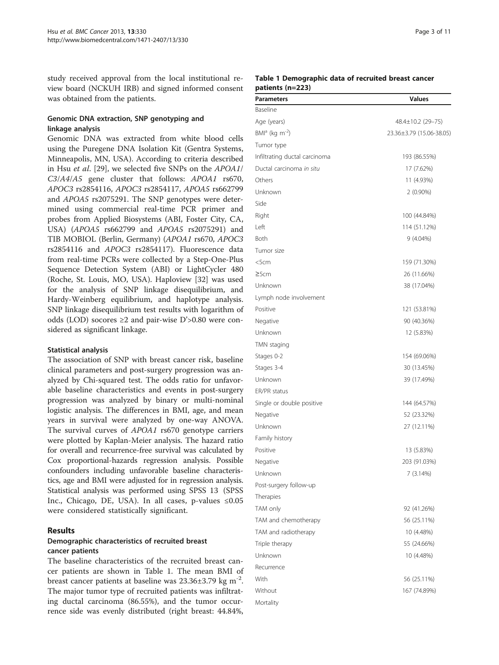<span id="page-2-0"></span>study received approval from the local institutional review board (NCKUH IRB) and signed informed consent was obtained from the patients.

## Genomic DNA extraction, SNP genotyping and linkage analysis

Genomic DNA was extracted from white blood cells using the Puregene DNA Isolation Kit (Gentra Systems, Minneapolis, MN, USA). According to criteria described in Hsu et al. [\[29\]](#page-10-0), we selected five SNPs on the APOA1/ C3/A4/A5 gene cluster that follows: APOA1 rs670, APOC3 rs2854116, APOC3 rs2854117, APOA5 rs662799 and APOA5 rs2075291. The SNP genotypes were determined using commercial real-time PCR primer and probes from Applied Biosystems (ABI, Foster City, CA, USA) (APOA5 rs662799 and APOA5 rs2075291) and TIB MOBIOL (Berlin, Germany) (APOA1 rs670, APOC3 rs2854116 and APOC3 rs2854117). Fluorescence data from real-time PCRs were collected by a Step-One-Plus Sequence Detection System (ABI) or LightCycler 480 (Roche, St. Louis, MO, USA). Haploview [[32\]](#page-10-0) was used for the analysis of SNP linkage disequilibrium, and Hardy-Weinberg equilibrium, and haplotype analysis. SNP linkage disequilibrium test results with logarithm of odds (LOD) socores ≥2 and pair-wise D'>0.80 were considered as significant linkage.

#### Statistical analysis

The association of SNP with breast cancer risk, baseline clinical parameters and post-surgery progression was analyzed by Chi-squared test. The odds ratio for unfavorable baseline characteristics and events in post-surgery progression was analyzed by binary or multi-nominal logistic analysis. The differences in BMI, age, and mean years in survival were analyzed by one-way ANOVA. The survival curves of APOA1 rs670 genotype carriers were plotted by Kaplan-Meier analysis. The hazard ratio for overall and recurrence-free survival was calculated by Cox proportional-hazards regression analysis. Possible confounders including unfavorable baseline characteristics, age and BMI were adjusted for in regression analysis. Statistical analysis was performed using SPSS 13 (SPSS Inc., Chicago, DE, USA). In all cases, p-values ≤0.05 were considered statistically significant.

## Results

## Demographic characteristics of recruited breast cancer patients

The baseline characteristics of the recruited breast cancer patients are shown in Table 1. The mean BMI of breast cancer patients at baseline was  $23.36\pm3.79$  kg m<sup>-2</sup>. The major tumor type of recruited patients was infiltrating ductal carcinoma (86.55%), and the tumor occurrence side was evenly distributed (right breast: 44.84%,

## Table 1 Demographic data of recruited breast cancer patients (n=223)

| Parameters                    | <b>Values</b>            |
|-------------------------------|--------------------------|
| Baseline                      |                          |
| Age (years)                   | 48.4±10.2 (29-75)        |
| $BMIa$ (kg m <sup>-2</sup> )  | 23.36±3.79 (15.06-38.05) |
| Tumor type                    |                          |
| Infiltrating ductal carcinoma | 193 (86.55%)             |
| Ductal carcinoma in situ      | 17 (7.62%)               |
| Others                        | 11 (4.93%)               |
| Unknown                       | $2(0.90\%)$              |
| Side                          |                          |
| Right                         | 100 (44.84%)             |
| Left                          | 114 (51.12%)             |
| <b>Both</b>                   | 9 (4.04%)                |
| Tumor size                    |                          |
| $<$ 5 $cm$                    | 159 (71.30%)             |
| $\geq$ 5cm                    | 26 (11.66%)              |
| Unknown                       | 38 (17.04%)              |
| Lymph node involvement        |                          |
| Positive                      | 121 (53.81%)             |
| Negative                      | 90 (40.36%)              |
| Unknown                       | 12 (5.83%)               |
| TMN staging                   |                          |
| Stages 0-2                    | 154 (69.06%)             |
| Stages 3-4                    | 30 (13.45%)              |
| Unknown                       | 39 (17.49%)              |
| ER/PR status                  |                          |
| Single or double positive     | 144 (64.57%)             |
| Negative                      | 52 (23.32%)              |
| Unknown                       | 27 (12.11%)              |
| Family history                |                          |
| Positive                      | 13 (5.83%)               |
| Negative                      | 203 (91.03%)             |
| Unknown                       | 7 (3.14%)                |
| Post-surgery follow-up        |                          |
| Therapies                     |                          |
| TAM only                      | 92 (41.26%)              |
| TAM and chemotherapy          | 56 (25.11%)              |
| TAM and radiotherapy          | 10 (4.48%)               |
| Triple therapy                | 55 (24.66%)              |
| Unknown                       | 10 (4.48%)               |
| Recurrence                    |                          |
| With                          | 56 (25.11%)              |
| Without                       | 167 (74.89%)             |
|                               |                          |
| Mortality                     |                          |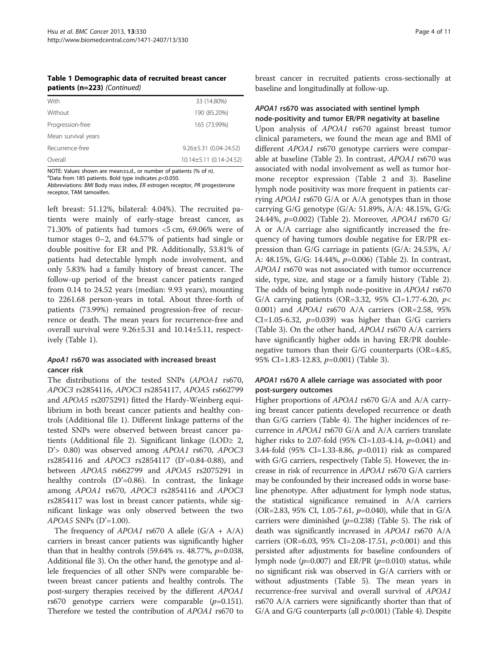| Table 1 Demographic data of recruited breast cancer |
|-----------------------------------------------------|
| patients (n=223) (Continued)                        |

| With                | 33 (14.80%)                  |
|---------------------|------------------------------|
| Without             | 190 (85.20%)                 |
| Progression-free    | 165 (73.99%)                 |
| Mean survival years |                              |
| Recurrence-free     | $9.26 \pm 5.31$ (0.04-24.52) |
| Overall             | 10.14±5.11 (0.14-24.52)      |

NOTE: Values shown are mean±s.d., or number of patients (% of n).

 $a$ Data from 185 patients. Bold type indicates  $p<$  0.050. Abbreviations: BMI Body mass index, ER estrogen receptor, PR progesterone

receptor, TAM tamoxifen.

left breast: 51.12%, bilateral: 4.04%). The recruited patients were mainly of early-stage breast cancer, as 71.30% of patients had tumors <5 cm, 69.06% were of tumor stages 0–2, and 64.57% of patients had single or double positive for ER and PR. Additionally, 53.81% of patients had detectable lymph node involvement, and only 5.83% had a family history of breast cancer. The follow-up period of the breast cancer patients ranged from 0.14 to 24.52 years (median: 9.93 years), mounting to 2261.68 person-years in total. About three-forth of patients (73.99%) remained progression-free of recurrence or death. The mean years for recurrence-free and overall survival were 9.26±5.31 and 10.14±5.11, respectively (Table [1](#page-2-0)).

## ApoA1 rs670 was associated with increased breast cancer risk

The distributions of the tested SNPs (APOA1 rs670, APOC3 rs2854116, APOC3 rs2854117, APOA5 rs662799 and APOA5 rs2075291) fitted the Hardy-Weinberg equilibrium in both breast cancer patients and healthy controls (Additional file [1\)](#page-9-0). Different linkage patterns of the tested SNPs were observed between breast cancer patients (Additional file [2\)](#page-9-0). Significant linkage (LOD≥ 2, D'> 0.80) was observed among APOA1 rs670, APOC3 rs2854116 and APOC3 rs2854117 (D'=0.84-0.88), and between APOA5 rs662799 and APOA5 rs2075291 in healthy controls  $(D'=0.86)$ . In contrast, the linkage among APOA1 rs670, APOC3 rs2854116 and APOC3 rs2854117 was lost in breast cancer patients, while significant linkage was only observed between the two  $APOAS$  SNPs (D'=1.00).

The frequency of  $APOA1$  rs670 A allele  $(G/A + A/A)$ carriers in breast cancer patients was significantly higher than that in healthy controls  $(59.64\% \text{ vs. } 48.77\%, \text{ p} = 0.038,$ Additional file [3](#page-9-0)). On the other hand, the genotype and allele frequencies of all other SNPs were comparable between breast cancer patients and healthy controls. The post-surgery therapies received by the different APOA1 rs670 genotype carriers were comparable  $(p=0.151)$ . Therefore we tested the contribution of APOA1 rs670 to

breast cancer in recruited patients cross-sectionally at baseline and longitudinally at follow-up.

## APOA1 rs670 was associated with sentinel lymph node-positivity and tumor ER/PR negativity at baseline

Upon analysis of APOA1 rs670 against breast tumor clinical parameters, we found the mean age and BMI of different APOA1 rs670 genotype carriers were comparable at baseline (Table [2\)](#page-4-0). In contrast, APOA1 rs670 was associated with nodal involvement as well as tumor hormone receptor expression (Table [2](#page-4-0) and [3](#page-5-0)). Baseline lymph node positivity was more frequent in patients carrying APOA1 rs670 G/A or A/A genotypes than in those carrying G/G genotype (G/A: 51.89%, A/A: 48.15%, G/G: 24.44%, p=0.002) (Table [2\)](#page-4-0). Moreover, APOA1 rs670 G/ A or A/A carriage also significantly increased the frequency of having tumors double negative for ER/PR expression than G/G carriage in patients (G/A: 24.53%, A/ A: 48.15%, G/G: 14.44%, p=0.006) (Table [2](#page-4-0)). In contrast, APOA1 rs670 was not associated with tumor occurrence side, type, size, and stage or a family history (Table [2](#page-4-0)). The odds of being lymph node-positive in APOA1 rs670 G/A carrying patients (OR=3.32, 95% CI=1.77-6.20,  $p$ < 0.001) and APOA1 rs670 A/A carriers (OR=2.58, 95% CI=1.05-6.32,  $p=0.039$ ) was higher than G/G carriers (Table [3\)](#page-5-0). On the other hand, APOA1 rs670 A/A carriers have significantly higher odds in having ER/PR doublenegative tumors than their G/G counterparts (OR=4.85, 95% CI=1.83-12.83, p=0.001) (Table [3](#page-5-0)).

## APOA1 rs670 A allele carriage was associated with poor post-surgery outcomes

Higher proportions of APOA1 rs670 G/A and A/A carrying breast cancer patients developed recurrence or death than G/G carriers (Table [4\)](#page-5-0). The higher incidences of recurrence in APOA1 rs670 G/A and A/A carriers translate higher risks to 2.07-fold (95% CI=1.03-4.14,  $p=0.041$ ) and 3.44-fold (95% CI=1.33-8.86, p=0.011) risk as compared with G/G carriers, respectively (Table [5](#page-6-0)). However, the increase in risk of recurrence in APOA1 rs670 G/A carriers may be confounded by their increased odds in worse baseline phenotype. After adjustment for lymph node status, the statistical significance remained in A/A carriers (OR=2.83, 95% CI, 1.05-7.61,  $p=0.040$ ), while that in G/A carriers were diminished  $(p=0.238)$  (Table [5](#page-6-0)). The risk of death was significantly increased in APOA1 rs670 A/A carriers (OR=6.03, 95% CI=2.08-17.51,  $p$ <0.001) and this persisted after adjustments for baseline confounders of lymph node ( $p=0.007$ ) and ER/PR ( $p=0.010$ ) status, while no significant risk was observed in G/A carriers with or without adjustments (Table [5\)](#page-6-0). The mean years in recurrence-free survival and overall survival of APOA1 rs670 A/A carriers were significantly shorter than that of  $G/A$  and  $G/G$  counterparts (all  $p<0.001$ ) (Table [4\)](#page-5-0). Despite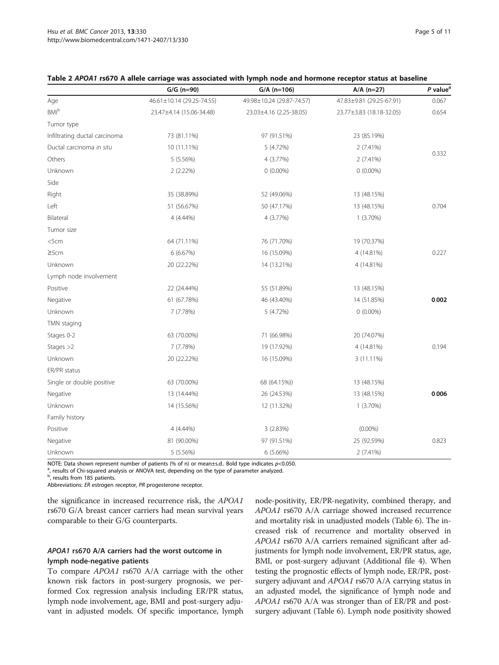|                               | $G/G$ (n=90)              | $G/A$ (n=106)             | $A/A$ (n=27)             | $P$ value <sup>a</sup> |
|-------------------------------|---------------------------|---------------------------|--------------------------|------------------------|
| Age                           | 46.61±10.14 (29.25-74.55) | 49.98±10.24 (29.87-74.57) | 47.83±9.81 (29.25-67.91) | 0.067                  |
| $BM^b$                        | 23.47±4.14 (15.06-34.48)  | 23.03±4.16 (2.25-38.05)   | 23.77±3.83 (18.18-32.05) | 0.654                  |
| Tumor type                    |                           |                           |                          |                        |
| Infiltrating ductal carcinoma | 73 (81.11%)               | 97 (91.51%)               | 23 (85.19%)              |                        |
| Ductal carcinoma in situ      | 10 (11.11%)               | 5 (4.72%)                 | 2 (7.41%)                |                        |
| Others                        | 5 (5.56%)                 | 4 (3.77%)                 | 2(7.41%)                 | 0.332                  |
| Unknown                       | 2(2.22%)                  | $0(0.00\%)$               | $0(0.00\%)$              |                        |
| Side                          |                           |                           |                          |                        |
| Right                         | 35 (38.89%)               | 52 (49.06%)               | 13 (48.15%)              |                        |
| Left                          | 51 (56.67%)               | 50 (47.17%)               | 13 (48.15%)              | 0.704                  |
| Bilateral                     | 4 (4.44%)                 | 4 (3.77%)                 | $1(3.70\%)$              |                        |
| Tumor size                    |                           |                           |                          |                        |
| $<$ 5 $cm$                    | 64 (71.11%)               | 76 (71.70%)               | 19 (70.37%)              |                        |
| 25cm                          | 6 (6.67%)                 | 16 (15.09%)               | 4 (14.81%)               | 0.227                  |
| Unknown                       | 20 (22.22%)               | 14 (13.21%)               | 4 (14.81%)               |                        |
| Lymph node involvement        |                           |                           |                          |                        |
| Positive                      | 22 (24.44%)               | 55 (51.89%)               | 13 (48.15%)              |                        |
| Negative                      | 61 (67.78%)               | 46 (43.40%)               | 14 (51.85%)              | 0.002                  |
| Unknown                       | 7 (7.78%)                 | 5 (4.72%)                 | $0(0.00\%)$              |                        |
| TMN staging                   |                           |                           |                          |                        |
| Stages 0-2                    | 63 (70.00%)               | 71 (66.98%)               | 20 (74.07%)              |                        |
| Stages $>2$                   | 7 (7.78%)                 | 19 (17.92%)               | 4 (14.81%)               | 0.194                  |
| Unknown                       | 20 (22.22%)               | 16 (15.09%)               | 3 (11.11%)               |                        |
| ER/PR status                  |                           |                           |                          |                        |
| Single or double positive     | 63 (70.00%)               | 68 (64.15%))              | 13 (48.15%)              |                        |
| Negative                      | 13 (14.44%)               | 26 (24.53%)               | 13 (48.15%)              | 0.006                  |
| Unknown                       | 14 (15.56%)               | 12 (11.32%)               | 1(3.70%)                 |                        |
| Family history                |                           |                           |                          |                        |
| Positive                      | 4 (4.44%)                 | 3 (2.83%)                 | $(0.00\%)$               |                        |
| Negative                      | 81 (90.00%)               | 97 (91.51%)               | 25 (92.59%)              | 0.823                  |
| Unknown                       | 5 (5.56%)                 | 6 (5.66%)                 | 2 (7.41%)                |                        |

<span id="page-4-0"></span>

| Table 2 APOA1 rs670 A allele carriage was associated with lymph node and hormone receptor status at baseline |  |  |
|--------------------------------------------------------------------------------------------------------------|--|--|
|--------------------------------------------------------------------------------------------------------------|--|--|

NOTE: Data shown represent number of patients (% of n) or mean±s.d.. Bold type indicates p<0.050.

<sup>a</sup>, results of Chi-squared analysis or ANOVA test, depending on the type of parameter analyzed.<br><sup>b</sup>, results from 185 patients.

Abbreviations: ER estrogen receptor, PR progesterone receptor.

the significance in increased recurrence risk, the APOA1 rs670 G/A breast cancer carriers had mean survival years comparable to their G/G counterparts.

## APOA1 rs670 A/A carriers had the worst outcome in lymph node-negative patients

To compare APOA1 rs670 A/A carriage with the other known risk factors in post-surgery prognosis, we performed Cox regression analysis including ER/PR status, lymph node involvement, age, BMI and post-surgery adjuvant in adjusted models. Of specific importance, lymph node-positivity, ER/PR-negativity, combined therapy, and APOA1 rs670 A/A carriage showed increased recurrence and mortality risk in unadjusted models (Table [6](#page-6-0)). The increased risk of recurrence and mortality observed in APOA1 rs670 A/A carriers remained significant after adjustments for lymph node involvement, ER/PR status, age, BMI, or post-surgery adjuvant (Additional file [4](#page-9-0)). When testing the prognostic effects of lymph node, ER/PR, postsurgery adjuvant and APOA1 rs670 A/A carrying status in an adjusted model, the significance of lymph node and APOA1 rs670 A/A was stronger than of ER/PR and postsurgery adjuvant (Table [6](#page-6-0)). Lymph node positivity showed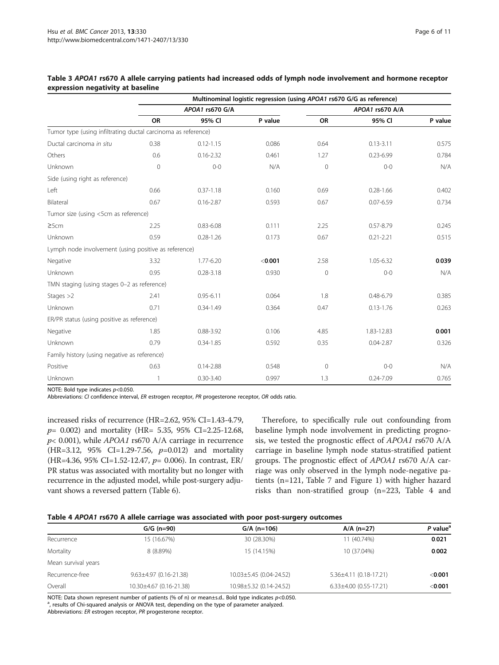|                                                               |                |                 | Multinominal logistic regression (using APOA1 rs670 G/G as reference) |                 |               |         |
|---------------------------------------------------------------|----------------|-----------------|-----------------------------------------------------------------------|-----------------|---------------|---------|
|                                                               |                | APOA1 rs670 G/A |                                                                       | APOA1 rs670 A/A |               |         |
|                                                               | <b>OR</b>      | 95% CI          | P value                                                               | <b>OR</b>       | 95% CI        | P value |
| Tumor type (using infiltrating ductal carcinoma as reference) |                |                 |                                                                       |                 |               |         |
| Ductal carcinoma in situ                                      | 0.38           | $0.12 - 1.15$   | 0.086                                                                 | 0.64            | $0.13 - 3.11$ | 0.575   |
| Others                                                        | 0.6            | $0.16 - 2.32$   | 0.461                                                                 | 1.27            | $0.23 - 6.99$ | 0.784   |
| Unknown                                                       | $\overline{0}$ | $0 - 0$         | N/A                                                                   | $\overline{0}$  | $0 - 0$       | N/A     |
| Side (using right as reference)                               |                |                 |                                                                       |                 |               |         |
| Left                                                          | 0.66           | $0.37 - 1.18$   | 0.160                                                                 | 0.69            | $0.28 - 1.66$ | 0.402   |
| Bilateral                                                     | 0.67           | $0.16 - 2.87$   | 0.593                                                                 | 0.67            | $0.07 - 6.59$ | 0.734   |
| Tumor size (using <5cm as reference)                          |                |                 |                                                                       |                 |               |         |
| 25cm                                                          | 2.25           | $0.83 - 6.08$   | 0.111                                                                 | 2.25            | $0.57 - 8.79$ | 0.245   |
| Unknown                                                       | 0.59           | $0.28 - 1.26$   | 0.173                                                                 | 0.67            | $0.21 - 2.21$ | 0.515   |
| Lymph node involvement (using positive as reference)          |                |                 |                                                                       |                 |               |         |
| Negative                                                      | 3.32           | 1.77-6.20       | < 0.001                                                               | 2.58            | 1.05-6.32     | 0.039   |
| Unknown                                                       | 0.95           | $0.28 - 3.18$   | 0.930                                                                 | $\mathbf 0$     | $0 - 0$       | N/A     |
| TMN staging (using stages 0-2 as reference)                   |                |                 |                                                                       |                 |               |         |
| Stages $>2$                                                   | 2.41           | $0.95 - 6.11$   | 0.064                                                                 | 1.8             | $0.48 - 6.79$ | 0.385   |
| Unknown                                                       | 0.71           | $0.34 - 1.49$   | 0.364                                                                 | 0.47            | $0.13 - 1.76$ | 0.263   |
| ER/PR status (using positive as reference)                    |                |                 |                                                                       |                 |               |         |
| Negative                                                      | 1.85           | $0.88 - 3.92$   | 0.106                                                                 | 4.85            | 1.83-12.83    | 0.001   |
| Unknown                                                       | 0.79           | $0.34 - 1.85$   | 0.592                                                                 | 0.35            | $0.04 - 2.87$ | 0.326   |
| Family history (using negative as reference)                  |                |                 |                                                                       |                 |               |         |
| Positive                                                      | 0.63           | $0.14 - 2.88$   | 0.548                                                                 | $\Omega$        | $0 - 0$       | N/A     |
| Unknown                                                       | 1              | $0.30 - 3.40$   | 0.997                                                                 | 1.3             | $0.24 - 7.09$ | 0.765   |

#### <span id="page-5-0"></span>Table 3 APOA1 rs670 A allele carrying patients had increased odds of lymph node involvement and hormone receptor expression negativity at baseline

NOTE: Bold type indicates  $p<0.050$ .

Abbreviations: CI confidence interval, ER estrogen receptor, PR progesterone receptor, OR odds ratio.

increased risks of recurrence (HR=2.62, 95% CI=1.43-4.79, p= 0.002) and mortality (HR= 5.35, 95% CI=2.25-12.68,  $p$ < 0.001), while *APOA1* rs670 A/A carriage in recurrence (HR=3.12, 95% CI=1.29-7.56,  $p=0.012$ ) and mortality (HR=4.36, 95% CI=1.52-12.47,  $p=$  0.006). In contrast, ER/ PR status was associated with mortality but no longer with recurrence in the adjusted model, while post-surgery adjuvant shows a reversed pattern (Table [6](#page-6-0)).

Therefore, to specifically rule out confounding from baseline lymph node involvement in predicting prognosis, we tested the prognostic effect of APOA1 rs670 A/A carriage in baseline lymph node status-stratified patient groups. The prognostic effect of APOA1 rs670 A/A carriage was only observed in the lymph node-negative patients (n=121, Table [7](#page-7-0) and Figure [1\)](#page-8-0) with higher hazard risks than non-stratified group (n=223, Table 4 and

|  |  |  |  | Table 4 APOA1 rs670 A allele carriage was associated with poor post-surgery outcomes |
|--|--|--|--|--------------------------------------------------------------------------------------|
|--|--|--|--|--------------------------------------------------------------------------------------|

|                     | $G/G (n=90)$                 | $G/A$ (n=106)           | $A/A$ (n=27)                 | P value <sup>a</sup> |
|---------------------|------------------------------|-------------------------|------------------------------|----------------------|
| Recurrence          | 15 (16.67%)                  | 30 (28.30%)             | 11 (40.74%)                  | 0.021                |
| Mortality           | 8 (8.89%)                    | 15 (14.15%)             | 10 (37.04%)                  | 0.002                |
| Mean survival years |                              |                         |                              |                      |
| Recurrence-free     | $9.63 \pm 4.97$ (0.16-21.38) | 10.03±5.45 (0.04-24.52) | $5.36 \pm 4.11$ (0.18-17.21) | $<$ 0.001            |
| Overall             | 10.30±4.67 (0.16-21.38)      | 10.98±5.32 (0.14-24.52) | $6.33\pm4.00$ (0.55-17.21)   | $<$ 0.001            |

NOTE: Data shown represent number of patients (% of n) or mean±s.d.. Bold type indicates p<0.050. <sup>a</sup>, results of Chi-squared analysis or ANOVA test, depending on the type of parameter analyzed.

Abbreviations: ER estrogen receptor, PR progesterone receptor.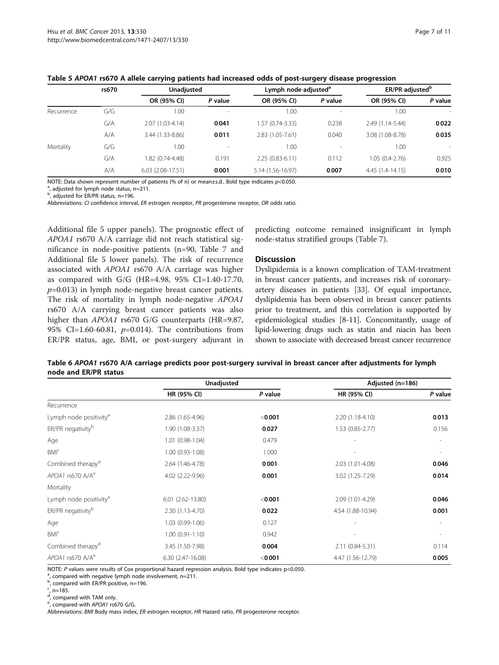|            | rs670 |                    | ER/PR-adjusted <sup>b</sup><br>Lymph node-adjusted <sup>a</sup> |                   | Unadjusted               |                   |                          |  |  |
|------------|-------|--------------------|-----------------------------------------------------------------|-------------------|--------------------------|-------------------|--------------------------|--|--|
|            |       | OR (95% CI)        | P value                                                         | OR (95% CI)       | P value                  | OR (95% CI)       | P value                  |  |  |
| Recurrence | G/G   | 1.00               | ۰                                                               | 1.00              | $\overline{\phantom{a}}$ | 1.00              | $\overline{\phantom{a}}$ |  |  |
|            | G/A   | 2.07 (1.03-4.14)   | 0.041                                                           | 1.57 (0.74-3.33)  | 0.238                    | 2.49 (1.14-5.44)  | 0.022                    |  |  |
|            | A/A   | 3.44 (1.33-8.86)   | 0.011                                                           | 2.83 (1.05-7.61)  | 0.040                    | 3.08 (1.08-8.78)  | 0.035                    |  |  |
| Mortality  | G/G   | 1.00               | ۰                                                               | 1.00              | $\overline{\phantom{a}}$ | 1.00              | $\overline{\phantom{a}}$ |  |  |
|            | G/A   | 1.82 (0.74-4.48)   | 0.191                                                           | $2.25(0.83-6.11)$ | 0.112                    | $1.05(0.4-2.76)$  | 0.925                    |  |  |
|            | A/A   | $6.03(2.08-17.51)$ | 0.001                                                           | 5.14 (1.56-16.97) | 0.007                    | $4.45(1.4-14.15)$ | 0.010                    |  |  |

#### <span id="page-6-0"></span>Table 5 APOA1 rs670 A allele carrying patients had increased odds of post-surgery disease progression

NOTE: Data shown represent number of patients (% of n) or mean±s.d.. Bold type indicates p<0.050.

 $a$ , adjusted for lymph node status, n=211.

<sup>b</sup>, adjusted for ER/PR status, n=196.

Abbreviations: CI confidence interval, ER estrogen receptor, PR progesterone receptor, OR odds ratio.

Additional file [5](#page-9-0) upper panels). The prognostic effect of APOA1 rs670 A/A carriage did not reach statistical significance in node-positive patients (n=90, Table [7](#page-7-0) and Additional file [5](#page-9-0) lower panels). The risk of recurrence associated with APOA1 rs670 A/A carriage was higher as compared with G/G (HR=4.98, 95% CI=1.40-17.70,  $p=0.013$ ) in lymph node-negative breast cancer patients. The risk of mortality in lymph node-negative APOA1 rs670 A/A carrying breast cancer patients was also higher than APOA1 rs670 G/G counterparts (HR=9.87, 95% CI=1.60-60.81,  $p=0.014$ ). The contributions from ER/PR status, age, BMI, or post-surgery adjuvant in

predicting outcome remained insignificant in lymph node-status stratified groups (Table [7\)](#page-7-0).

#### **Discussion**

Dyslipidemia is a known complication of TAM-treatment in breast cancer patients, and increases risk of coronaryartery diseases in patients [\[33\]](#page-10-0). Of equal importance, dyslipidemia has been observed in breast cancer patients prior to treatment, and this correlation is supported by epidemiological studies [\[8](#page-9-0)-[11](#page-10-0)]. Concomitantly, usage of lipid-lowering drugs such as statin and niacin has been shown to associate with decreased breast cancer recurrence

| Table 6 APOA1 rs670 A/A carriage predicts poor post-surgery survival in breast cancer after adjustments for lymph |  |  |
|-------------------------------------------------------------------------------------------------------------------|--|--|
| node and ER/PR status                                                                                             |  |  |

|                                    | Unadjusted          |         | Adjusted (n=186)    |         |
|------------------------------------|---------------------|---------|---------------------|---------|
|                                    | HR (95% CI)         | P value | HR (95% CI)         | P value |
| Recurrence                         |                     |         |                     |         |
| Lymph node positivity <sup>a</sup> | 2.86 (1.65-4.96)    | < 0.001 | $2.20(1.18-4.10)$   | 0.013   |
| ER/PR negativity <sup>b</sup>      | 1.90 (1.08-3.37)    | 0.027   | $1.53(0.85 - 2.77)$ | 0.156   |
| Age                                | $1.01(0.98-1.04)$   | 0.479   |                     |         |
| BM <sup>c</sup>                    | $1.00(0.93 - 1.08)$ | 1.000   |                     |         |
| Combined therapy <sup>d</sup>      | 2.64 (1.46-4.78)    | 0.001   | 2.03 (1.01-4.08)    | 0.046   |
| APOA1 rs670 A/A <sup>e</sup>       | 4.02 (2.22-9.96)    | 0.001   | 3.02 (1.25-7.29)    | 0.014   |
| Mortality                          |                     |         |                     |         |
| Lymph node positivity <sup>a</sup> | $6.01(2.62-13.80)$  | < 0.001 | 2.09 (1.01-4.29)    | 0.046   |
| ER/PR negativity <sup>b</sup>      | $2.30(1.13-4.70)$   | 0.022   | 4.54 (1.88-10.94)   | 0.001   |
| Age                                | $1.03(0.99-1.06)$   | 0.127   |                     |         |
| BM <sup>c</sup>                    | $1.00(0.91 - 1.10)$ | 0.942   |                     |         |
| Combined therapy <sup>d</sup>      | 3.45 (1.50-7.98)    | 0.004   | 2.11 (0.84-5.31)    | 0.114   |
| APOA1 rs670 A/A <sup>e</sup>       | $6.30(2.47-16.08)$  | < 0.001 | 4.47 (1.56-12.79)   | 0.005   |

NOTE: P values were results of Cox proportional hazard regression analysis. Bold type indicates p<0.050.

<sup>a</sup>, compared with negative lymph node involvement, n=211.<br><sup>b</sup>, compared with ER/PR positive, n=196.

 $\frac{c}{n}$ , n=185. d

, compared with TAM only.

e, compared with APOA1 rs670 G/G.

Abbreviations: BMI Body mass index, ER estrogen receptor, HR Hazard ratio, PR progesterone receptor.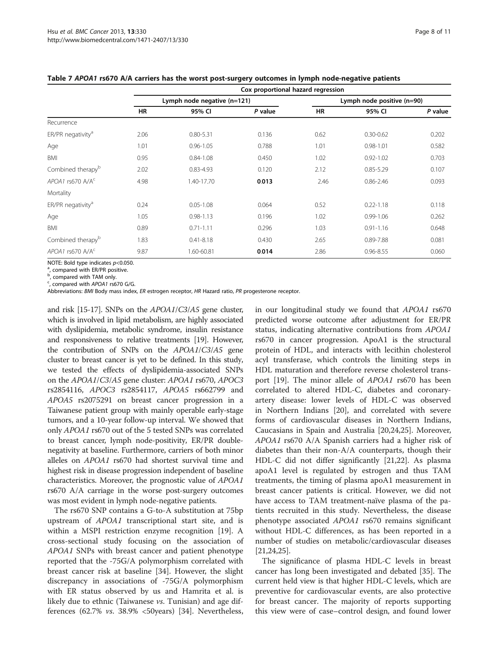|                               | Cox proportional hazard regression |                             |         |                            |               |         |
|-------------------------------|------------------------------------|-----------------------------|---------|----------------------------|---------------|---------|
|                               |                                    | Lymph node negative (n=121) |         | Lymph node positive (n=90) |               |         |
|                               | HR                                 | 95% CI                      | P value | HR                         | 95% CI        | P value |
| Recurrence                    |                                    |                             |         |                            |               |         |
| ER/PR negativity <sup>a</sup> | 2.06                               | $0.80 - 5.31$               | 0.136   | 0.62                       | $0.30 - 0.62$ | 0.202   |
| Age                           | 1.01                               | $0.96 - 1.05$               | 0.788   | 1.01                       | $0.98 - 1.01$ | 0.582   |
| <b>BMI</b>                    | 0.95                               | $0.84 - 1.08$               | 0.450   | 1.02                       | $0.92 - 1.02$ | 0.703   |
| Combined therapy <sup>b</sup> | 2.02                               | $0.83 - 4.93$               | 0.120   | 2.12                       | $0.85 - 5.29$ | 0.107   |
| APOA1 rs670 A/A <sup>c</sup>  | 4.98                               | 1.40-17.70                  | 0.013   | 2.46                       | $0.86 - 2.46$ | 0.093   |
| Mortality                     |                                    |                             |         |                            |               |         |
| ER/PR negativity <sup>a</sup> | 0.24                               | $0.05 - 1.08$               | 0.064   | 0.52                       | $0.22 - 1.18$ | 0.118   |
| Age                           | 1.05                               | $0.98 - 1.13$               | 0.196   | 1.02                       | $0.99 - 1.06$ | 0.262   |
| <b>BMI</b>                    | 0.89                               | $0.71 - 1.11$               | 0.296   | 1.03                       | $0.91 - 1.16$ | 0.648   |
| Combined therapy <sup>b</sup> | 1.83                               | $0.41 - 8.18$               | 0.430   | 2.65                       | 0.89-7.88     | 0.081   |
| $APOA1$ rs670 $A/Ac$          | 9.87                               | 1.60-60.81                  | 0.014   | 2.86                       | $0.96 - 8.55$ | 0.060   |
|                               |                                    |                             |         |                            |               |         |

<span id="page-7-0"></span>Table 7 APOA1 rs670 A/A carriers has the worst post-surgery outcomes in lymph node-negative patients

NOTE: Bold type indicates  $p<$  0.050.

, compared with ER/PR positive.

**b**, compared with TAM only.

<sup>c</sup>, compared with APOA1 rs670 G/G.

Abbreviations: BMI Body mass index, ER estrogen receptor, HR Hazard ratio, PR progesterone receptor.

and risk [\[15-17](#page-10-0)]. SNPs on the APOA1/C3/A5 gene cluster, which is involved in lipid metabolism, are highly associated with dyslipidemia, metabolic syndrome, insulin resistance and responsiveness to relative treatments [\[19](#page-10-0)]. However, the contribution of SNPs on the APOA1/C3/A5 gene cluster to breast cancer is yet to be defined. In this study, we tested the effects of dyslipidemia-associated SNPs on the APOA1/C3/A5 gene cluster: APOA1 rs670, APOC3 rs2854116, APOC3 rs2854117, APOA5 rs662799 and APOA5 rs2075291 on breast cancer progression in a Taiwanese patient group with mainly operable early-stage tumors, and a 10-year follow-up interval. We showed that only APOA1 rs670 out of the 5 tested SNPs was correlated to breast cancer, lymph node-positivity, ER/PR doublenegativity at baseline. Furthermore, carriers of both minor alleles on APOA1 rs670 had shortest survival time and highest risk in disease progression independent of baseline characteristics. Moreover, the prognostic value of APOA1 rs670 A/A carriage in the worse post-surgery outcomes was most evident in lymph node-negative patients.

The rs670 SNP contains a G-to-A substitution at 75bp upstream of APOA1 transcriptional start site, and is within a MSPI restriction enzyme recognition [\[19](#page-10-0)]. A cross-sectional study focusing on the association of APOA1 SNPs with breast cancer and patient phenotype reported that the -75G/A polymorphism correlated with breast cancer risk at baseline [[34\]](#page-10-0). However, the slight discrepancy in associations of -75G/A polymorphism with ER status observed by us and Hamrita et al. is likely due to ethnic (Taiwanese *vs*. Tunisian) and age differences (62.7% vs. 38.9% <50years) [\[34](#page-10-0)]. Nevertheless,

in our longitudinal study we found that APOA1 rs670 predicted worse outcome after adjustment for ER/PR status, indicating alternative contributions from APOA1 rs670 in cancer progression. ApoA1 is the structural protein of HDL, and interacts with lecithin cholesterol acyl transferase, which controls the limiting steps in HDL maturation and therefore reverse cholesterol transport [[19\]](#page-10-0). The minor allele of APOA1 rs670 has been correlated to altered HDL-C, diabetes and coronaryartery disease: lower levels of HDL-C was observed in Northern Indians [\[20](#page-10-0)], and correlated with severe forms of cardiovascular diseases in Northern Indians, Caucasians in Spain and Australia [\[20,24,25](#page-10-0)]. Moreover, APOA1 rs670 A/A Spanish carriers had a higher risk of diabetes than their non-A/A counterparts, though their HDL-C did not differ significantly [[21,22](#page-10-0)]. As plasma apoA1 level is regulated by estrogen and thus TAM treatments, the timing of plasma apoA1 measurement in breast cancer patients is critical. However, we did not have access to TAM treatment-naïve plasma of the patients recruited in this study. Nevertheless, the disease phenotype associated APOA1 rs670 remains significant without HDL-C differences, as has been reported in a number of studies on metabolic/cardiovascular diseases [[21,24,25\]](#page-10-0).

The significance of plasma HDL-C levels in breast cancer has long been investigated and debated [[35\]](#page-10-0). The current held view is that higher HDL-C levels, which are preventive for cardiovascular events, are also protective for breast cancer. The majority of reports supporting this view were of case–control design, and found lower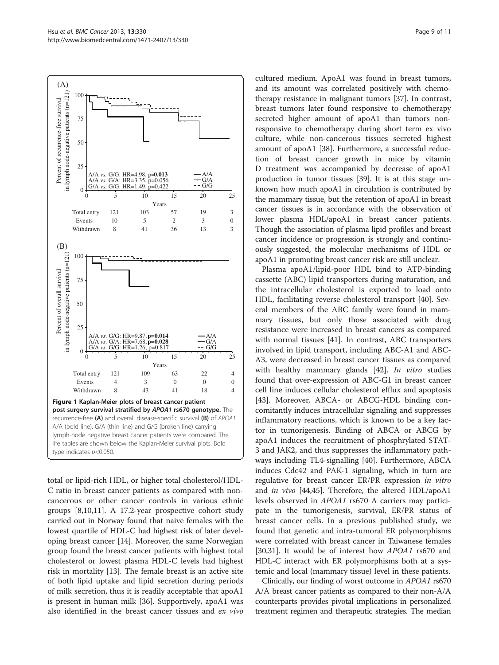<span id="page-8-0"></span>

total or lipid-rich HDL, or higher total cholesterol/HDL-C ratio in breast cancer patients as compared with noncancerous or other cancer controls in various ethnic groups [[8](#page-9-0),[10](#page-10-0),[11](#page-10-0)]. A 17.2-year prospective cohort study carried out in Norway found that naive females with the lowest quartile of HDL-C had highest risk of later developing breast cancer [\[14](#page-10-0)]. Moreover, the same Norwegian group found the breast cancer patients with highest total cholesterol or lowest plasma HDL-C levels had highest risk in mortality [\[13](#page-10-0)]. The female breast is an active site of both lipid uptake and lipid secretion during periods of milk secretion, thus it is readily acceptable that apoA1 is present in human milk [\[36](#page-10-0)]. Supportively, apoA1 was also identified in the breast cancer tissues and ex vivo cultured medium. ApoA1 was found in breast tumors, and its amount was correlated positively with chemotherapy resistance in malignant tumors [[37\]](#page-10-0). In contrast, breast tumors later found responsive to chemotherapy secreted higher amount of apoA1 than tumors nonresponsive to chemotherapy during short term ex vivo culture, while non-cancerous tissues secreted highest amount of apoA1 [\[38\]](#page-10-0). Furthermore, a successful reduction of breast cancer growth in mice by vitamin D treatment was accompanied by decrease of apoA1 production in tumor tissues [[39](#page-10-0)]. It is at this stage unknown how much apoA1 in circulation is contributed by the mammary tissue, but the retention of apoA1 in breast cancer tissues is in accordance with the observation of lower plasma HDL/apoA1 in breast cancer patients. Though the association of plasma lipid profiles and breast cancer incidence or progression is strongly and continuously suggested, the molecular mechanisms of HDL or apoA1 in promoting breast cancer risk are still unclear.

Plasma apoA1/lipid-poor HDL bind to ATP-binding cassette (ABC) lipid transporters during maturation, and the intracellular cholesterol is exported to load onto HDL, facilitating reverse cholesterol transport [\[40](#page-10-0)]. Several members of the ABC family were found in mammary tissues, but only those associated with drug resistance were increased in breast cancers as compared with normal tissues [[41\]](#page-10-0). In contrast, ABC transporters involved in lipid transport, including ABC-A1 and ABC-A3, were decreased in breast cancer tissues as compared with healthy mammary glands [[42](#page-10-0)]. *In vitro* studies found that over-expression of ABC-G1 in breast cancer cell line induces cellular cholesterol efflux and apoptosis [[43\]](#page-10-0). Moreover, ABCA- or ABCG-HDL binding concomitantly induces intracellular signaling and suppresses inflammatory reactions, which is known to be a key factor in tumorigenesis. Binding of ABCA or ABCG by apoA1 induces the recruitment of phosphrylated STAT-3 and JAK2, and thus suppresses the inflammatory pathways including TL4-signalling [\[40](#page-10-0)]. Furthermore, ABCA induces Cdc42 and PAK-1 signaling, which in turn are regulative for breast cancer ER/PR expression in vitro and *in vivo* [\[44,45](#page-10-0)]. Therefore, the altered HDL/apoA1 levels observed in APOA1 rs670 A carriers may participate in the tumorigenesis, survival, ER/PR status of breast cancer cells. In a previous published study, we found that genetic and intra-tumoral ER polymorphisms were correlated with breast cancer in Taiwanese females [[30,31\]](#page-10-0). It would be of interest how *APOA1* rs670 and HDL-C interact with ER polymorphisms both at a systemic and local (mammary tissue) level in these patients.

Clinically, our finding of worst outcome in APOA1 rs670 A/A breast cancer patients as compared to their non-A/A counterparts provides pivotal implications in personalized treatment regimen and therapeutic strategies. The median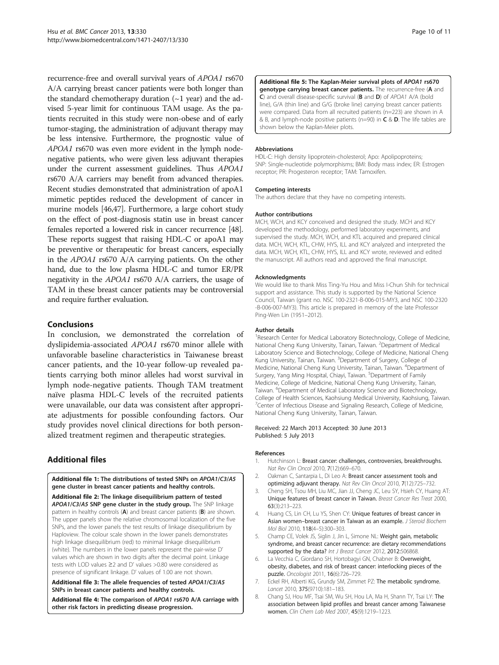<span id="page-9-0"></span>recurrence-free and overall survival years of APOA1 rs670 A/A carrying breast cancer patients were both longer than the standard chemotherapy duration  $(-1 \text{ year})$  and the advised 5-year limit for continuous TAM usage. As the patients recruited in this study were non-obese and of early tumor-staging, the administration of adjuvant therapy may be less intensive. Furthermore, the prognostic value of APOA1 rs670 was even more evident in the lymph nodenegative patients, who were given less adjuvant therapies under the current assessment guidelines. Thus APOA1 rs670 A/A carriers may benefit from advanced therapies. Recent studies demonstrated that administration of apoA1 mimetic peptides reduced the development of cancer in murine models [[46,47\]](#page-10-0). Furthermore, a large cohort study on the effect of post-diagnosis statin use in breast cancer females reported a lowered risk in cancer recurrence [[48](#page-10-0)]. These reports suggest that raising HDL-C or apoA1 may be preventive or therapeutic for breast cancers, especially in the APOA1 rs670 A/A carrying patients. On the other hand, due to the low plasma HDL-C and tumor ER/PR negativity in the APOA1 rs670 A/A carriers, the usage of TAM in these breast cancer patients may be controversial and require further evaluation.

## Conclusions

In conclusion, we demonstrated the correlation of dyslipidemia-associated APOA1 rs670 minor allele with unfavorable baseline characteristics in Taiwanese breast cancer patients, and the 10-year follow-up revealed patients carrying both minor alleles had worst survival in lymph node-negative patients. Though TAM treatment naïve plasma HDL-C levels of the recruited patients were unavailable, our data was consistent after appropriate adjustments for possible confounding factors. Our study provides novel clinical directions for both personalized treatment regimen and therapeutic strategies.

## Additional files

[Additional file 1:](http://www.biomedcentral.com/content/supplementary/1471-2407-13-330-S1.doc) The distributions of tested SNPs on APOA1/C3/A5 gene cluster in breast cancer patients and healthy controls.

[Additional file 2:](http://www.biomedcentral.com/content/supplementary/1471-2407-13-330-S2.doc) The linkage disequilibrium pattern of tested APOA1/C3/A5 SNP gene cluster in the study group. The SNP linkage pattern in healthy controls (A) and breast cancer patients (B) are shown. The upper panels show the relative chromosomal localization of the five SNPs, and the lower panels the test results of linkage disequilibrium by Haploview. The colour scale shown in the lower panels demonstrates high linkage disequilibrium (red) to minimal linkage disequilibrium (white). The numbers in the lower panels represent the pair-wise D' values which are shown in two digits after the decimal point. Linkage tests with LOD values ≥2 and D' values >0.80 were considered as presence of significant linkage. D' values of 1.00 are not shown.

[Additional file 3:](http://www.biomedcentral.com/content/supplementary/1471-2407-13-330-S3.doc) The allele frequencies of tested APOA1/C3/A5 SNPs in breast cancer patients and healthy controls.

[Additional file 4:](http://www.biomedcentral.com/content/supplementary/1471-2407-13-330-S4.doc) The comparison of APOA1 rs670 A/A carriage with other risk factors in predicting disease progression.

[Additional file 5:](http://www.biomedcentral.com/content/supplementary/1471-2407-13-330-S5.doc) The Kaplan-Meier survival plots of APOA1 rs670 genotype carrying breast cancer patients. The recurrence-free (A and C) and overall disease-specific survival (B and D) of APOA1 A/A (bold line), G/A (thin line) and G/G (broke line) carrying breast cancer patients were compared. Data from all recruited patients (n=223) are shown in A & B, and lymph-node positive patients (n=90) in  $C \& D$ . The life tables are shown below the Kaplan-Meier plots.

#### Abbreviations

HDL-C: High density lipoprotein-cholesterol; Apo: Apolipoproteins; SNP: Single-nucleotide polymorphisms; BMI: Body mass index; ER: Estrogen receptor; PR: Progesteron receptor; TAM: Tamoxifen.

#### Competing interests

The authors declare that they have no competing interests.

#### Author contributions

MCH, WCH, and KCY conceived and designed the study. MCH and KCY developed the methodology, performed laboratory experiments, and supervised the study. MCH, WCH, and KTL acquired and prepared clinical data. MCH, WCH, KTL, CHW, HYS, ILL and KCY analyzed and interpreted the data. MCH, WCH, KTL, CHW, HYS, ILL and KCY wrote, reviewed and edited the manuscript. All authors read and approved the final manuscript.

#### Acknowledgments

We would like to thank Miss Ting-Yu Hou and Miss I-Chun Shih for technical support and assistance. This study is supported by the National Science Council, Taiwan (grant no. NSC 100-2321-B-006-015-MY3, and NSC 100-2320 -B-006-007-MY3). This article is prepared in memory of the late Professor Ping-Wen Lin (1951–2012).

#### Author details

<sup>1</sup> Research Center for Medical Laboratory Biotechnology, College of Medicine, National Cheng Kung University, Tainan, Taiwan. <sup>2</sup>Department of Medical Laboratory Science and Biotechnology, College of Medicine, National Cheng Kung University, Tainan, Taiwan. <sup>3</sup>Department of Surgery, College of Medicine, National Cheng Kung University, Tainan, Taiwan. <sup>4</sup>Department of Surgery, Yang Ming Hospital, Chiayi, Taiwan. <sup>5</sup>Department of Family Medicine, College of Medicine, National Cheng Kung University, Tainan, Taiwan. <sup>6</sup>Department of Medical Laboratory Science and Biotechnology, College of Health Sciences, Kaohsiung Medical University, Kaohsiung, Taiwan. <sup>7</sup> Center of Infectious Disease and Signaling Research, College of Medicine National Cheng Kung University, Tainan, Taiwan.

#### Received: 22 March 2013 Accepted: 30 June 2013 Published: 5 July 2013

#### References

- 1. Hutchinson L: Breast cancer: challenges, controversies, breakthroughs. Nat Rev Clin Oncol 2010, 7(12):669–670.
- 2. Oakman C, Santarpia L, Di Leo A: Breast cancer assessment tools and optimizing adjuvant therapy. Nat Rev Clin Oncol 2010, 7(12):725–732.
- 3. Cheng SH, Tsou MH, Liu MC, Jian JJ, Cheng JC, Leu SY, Hsieh CY, Huang AT: Unique features of breast cancer in Taiwan. Breast Cancer Res Treat 2000, 63(3):213–223.
- 4. Huang CS, Lin CH, Lu YS, Shen CY: Unique features of breast cancer in Asian women–breast cancer in Taiwan as an example. J Steroid Biochem Mol Biol 2010, 118(4–5):300–303.
- 5. Champ CE, Volek JS, Siglin J, Jin L, Simone NL: Weight gain, metabolic syndrome, and breast cancer recurrence: are dietary recommendations supported by the data? Int J Breast Cancer 2012, 2012:506868.
- 6. La Vecchia C, Giordano SH, Hortobagyi GN, Chabner B: Overweight, obesity, diabetes, and risk of breast cancer: interlocking pieces of the puzzle. Oncologist 2011, 16(6):726–729.
- 7. Eckel RH, Alberti KG, Grundy SM, Zimmet PZ: The metabolic syndrome. Lancet 2010, 375(9710):181–183.
- 8. Chang SJ, Hou MF, Tsai SM, Wu SH, Hou LA, Ma H, Shann TY, Tsai LY: The association between lipid profiles and breast cancer among Taiwanese women. Clin Chem Lab Med 2007, 45(9):1219–1223.